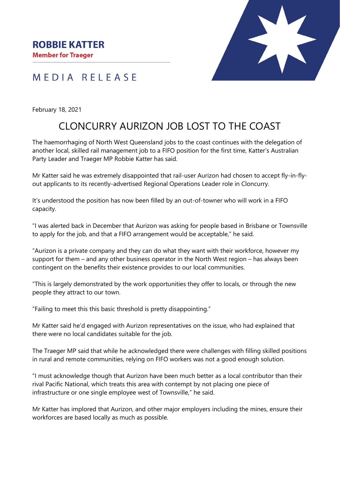

## MEDIA RELEASE

February 18, 2021

## CLONCURRY AURIZON JOB LOST TO THE COAST

The haemorrhaging of North West Queensland jobs to the coast continues with the delegation of another local, skilled rail management job to a FIFO position for the first time, Katter's Australian Party Leader and Traeger MP Robbie Katter has said.

Mr Katter said he was extremely disappointed that rail-user Aurizon had chosen to accept fly-in-flyout applicants to its recently-advertised Regional Operations Leader role in Cloncurry.

It's understood the position has now been filled by an out-of-towner who will work in a FIFO capacity.

"I was alerted back in December that Aurizon was asking for people based in Brisbane or Townsville to apply for the job, and that a FIFO arrangement would be acceptable," he said.

"Aurizon is a private company and they can do what they want with their workforce, however my support for them – and any other business operator in the North West region – has always been contingent on the benefits their existence provides to our local communities.

"This is largely demonstrated by the work opportunities they offer to locals, or through the new people they attract to our town.

"Failing to meet this this basic threshold is pretty disappointing."

Mr Katter said he'd engaged with Aurizon representatives on the issue, who had explained that there were no local candidates suitable for the job.

The Traeger MP said that while he acknowledged there were challenges with filling skilled positions in rural and remote communities, relying on FIFO workers was not a good enough solution.

"I must acknowledge though that Aurizon have been much better as a local contributor than their rival Pacific National, which treats this area with contempt by not placing one piece of infrastructure or one single employee west of Townsville," he said.

Mr Katter has implored that Aurizon, and other major employers including the mines, ensure their workforces are based locally as much as possible.